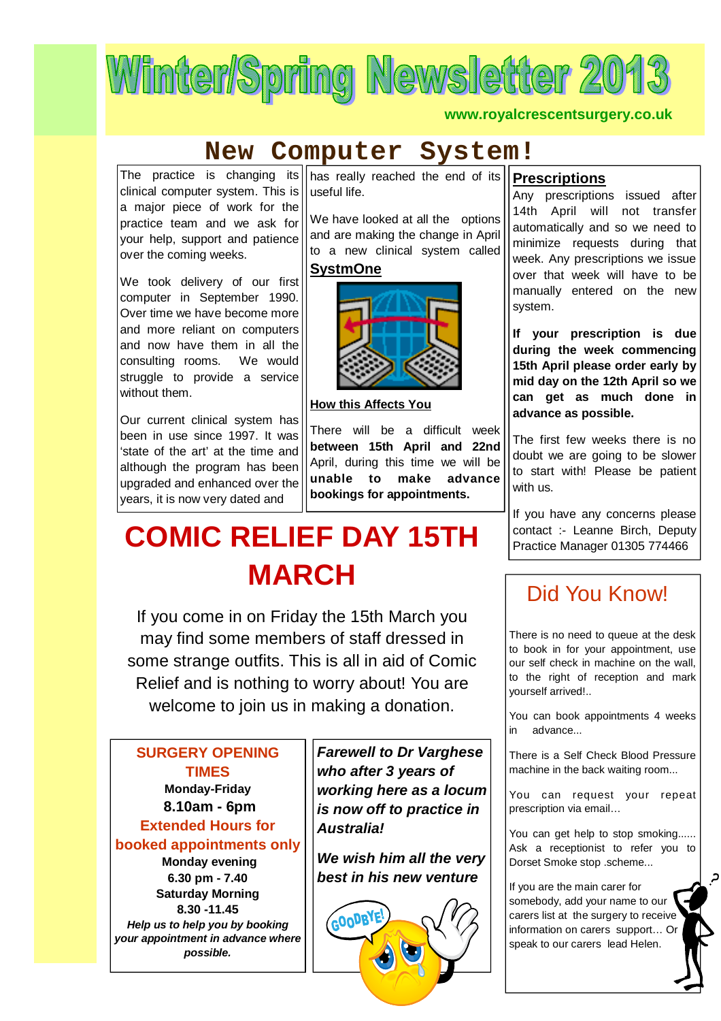

**www.royalcrescentsurgery.co.uk**

# **New Computer System!**

The practice is changing its clinical computer system. This is a major piece of work for the practice team and we ask for your help, support and patience over the coming weeks.

We took delivery of our first computer in September 1990. Over time we have become more and more reliant on computers and now have them in all the consulting rooms. We would struggle to provide a service without them.

Our current clinical system has been in use since 1997. It was 'state of the art' at the time and although the program has been upgraded and enhanced over the years, it is now very dated and

has really reached the end of its useful life.

We have looked at all the options and are making the change in April to a new clinical system called **SystmOne**



**How this Affects You**

There will be a difficult week **between 15th April and 22nd**  April, during this time we will be **unable to make advance bookings for appointments.** 

# **COMIC RELIEF DAY 15TH MARCH**

If you come in on Friday the 15th March you may find some members of staff dressed in some strange outfits. This is all in aid of Comic Relief and is nothing to worry about! You are welcome to join us in making a donation.

**SURGERY OPENING TIMES Monday-Friday 8.10am - 6pm Extended Hours for booked appointments only Monday evening 6.30 pm - 7.40 Saturday Morning 8.30 -11.45** *Help us to help you by booking your appointment in advance where possible.*

*Farewell to Dr Varghese who after 3 years of working here as a locum is now off to practice in Australia!*

*We wish him all the very best in his new venture* 



#### **Prescriptions**

Any prescriptions issued after 14th April will not transfer automatically and so we need to minimize requests during that week. Any prescriptions we issue over that week will have to be manually entered on the new system.

**If your prescription is due during the week commencing 15th April please order early by mid day on the 12th April so we can get as much done in advance as possible.** 

The first few weeks there is no doubt we are going to be slower to start with! Please be patient with us.

If you have any concerns please contact :- Leanne Birch, Deputy Practice Manager 01305 774466

# Did You Know!

There is no need to queue at the desk to book in for your appointment, use our self check in machine on the wall, to the right of reception and mark yourself arrived!..

You can book appointments 4 weeks in advance...

There is a Self Check Blood Pressure machine in the back waiting room...

You can request your repeat prescription via email…

You can get help to stop smoking...... Ask a receptionist to refer you to Dorset Smoke stop .scheme...

م.

If you are the main carer for somebody, add your name to our carers list at the surgery to receive information on carers support… Or speak to our carers lead Helen.